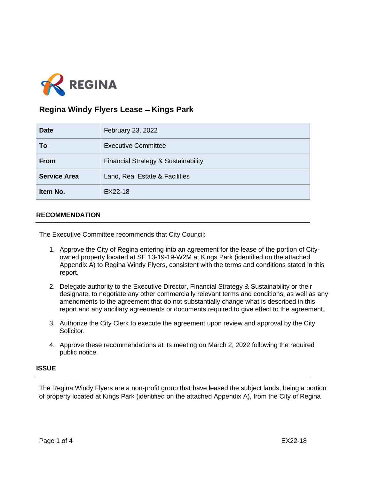

# **Regina Windy Flyers Lease - Kings Park**

| <b>Date</b>         | February 23, 2022                   |
|---------------------|-------------------------------------|
| To                  | <b>Executive Committee</b>          |
| <b>From</b>         | Financial Strategy & Sustainability |
| <b>Service Area</b> | Land, Real Estate & Facilities      |
| Item No.            | EX22-18                             |

# **RECOMMENDATION**

The Executive Committee recommends that City Council:

- 1. Approve the City of Regina entering into an agreement for the lease of the portion of Cityowned property located at SE 13-19-19-W2M at Kings Park (identified on the attached Appendix A) to Regina Windy Flyers, consistent with the terms and conditions stated in this report.
- 2. Delegate authority to the Executive Director, Financial Strategy & Sustainability or their designate, to negotiate any other commercially relevant terms and conditions, as well as any amendments to the agreement that do not substantially change what is described in this report and any ancillary agreements or documents required to give effect to the agreement.
- 3. Authorize the City Clerk to execute the agreement upon review and approval by the City Solicitor.
- 4. Approve these recommendations at its meeting on March 2, 2022 following the required public notice.

# **ISSUE**

The Regina Windy Flyers are a non-profit group that have leased the subject lands, being a portion of property located at Kings Park (identified on the attached Appendix A), from the City of Regina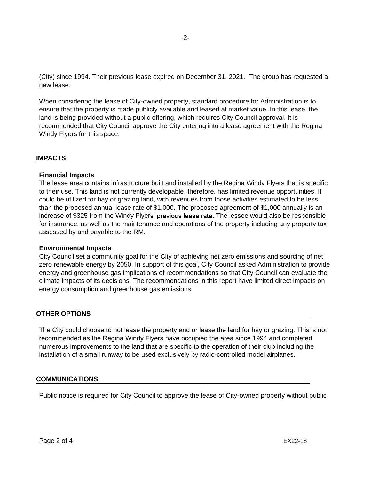(City) since 1994. Their previous lease expired on December 31, 2021. The group has requested a new lease.

When considering the lease of City-owned property, standard procedure for Administration is to ensure that the property is made publicly available and leased at market value. In this lease, the land is being provided without a public offering, which requires City Council approval. It is recommended that City Council approve the City entering into a lease agreement with the Regina Windy Flyers for this space.

#### **IMPACTS**

## **Financial Impacts**

The lease area contains infrastructure built and installed by the Regina Windy Flyers that is specific to their use. This land is not currently developable, therefore, has limited revenue opportunities. It could be utilized for hay or grazing land, with revenues from those activities estimated to be less than the proposed annual lease rate of \$1,000. The proposed agreement of \$1,000 annually is an increase of \$325 from the Windy Flyers' previous lease rate. The lessee would also be responsible for insurance, as well as the maintenance and operations of the property including any property tax assessed by and payable to the RM.

#### **Environmental Impacts**

City Council set a community goal for the City of achieving net zero emissions and sourcing of net zero renewable energy by 2050. In support of this goal, City Council asked Administration to provide energy and greenhouse gas implications of recommendations so that City Council can evaluate the climate impacts of its decisions. The recommendations in this report have limited direct impacts on energy consumption and greenhouse gas emissions.

# **OTHER OPTIONS**

The City could choose to not lease the property and or lease the land for hay or grazing. This is not recommended as the Regina Windy Flyers have occupied the area since 1994 and completed numerous improvements to the land that are specific to the operation of their club including the installation of a small runway to be used exclusively by radio-controlled model airplanes.

#### **COMMUNICATIONS**

Public notice is required for City Council to approve the lease of City-owned property without public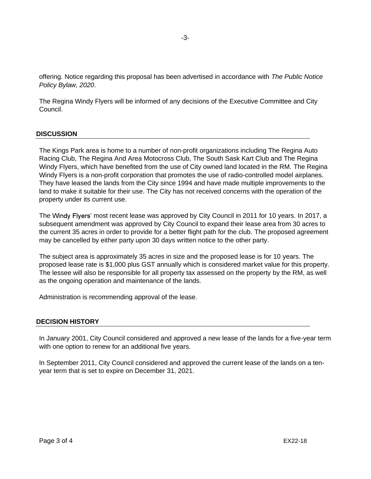offering. Notice regarding this proposal has been advertised in accordance with *The Public Notice Policy Bylaw, 2020*.

The Regina Windy Flyers will be informed of any decisions of the Executive Committee and City Council.

## **DISCUSSION**

The Kings Park area is home to a number of non-profit organizations including The Regina Auto Racing Club, The Regina And Area Motocross Club, The South Sask Kart Club and The Regina Windy Flyers, which have benefited from the use of City owned land located in the RM. The Regina Windy Flyers is a non-profit corporation that promotes the use of radio-controlled model airplanes. They have leased the lands from the City since 1994 and have made multiple improvements to the land to make it suitable for their use. The City has not received concerns with the operation of the property under its current use.

The Windy Flyers' most recent lease was approved by City Council in 2011 for 10 years. In 2017, a subsequent amendment was approved by City Council to expand their lease area from 30 acres to the current 35 acres in order to provide for a better flight path for the club. The proposed agreement may be cancelled by either party upon 30 days written notice to the other party.

The subject area is approximately 35 acres in size and the proposed lease is for 10 years. The proposed lease rate is \$1,000 plus GST annually which is considered market value for this property. The lessee will also be responsible for all property tax assessed on the property by the RM, as well as the ongoing operation and maintenance of the lands.

Administration is recommending approval of the lease.

#### **DECISION HISTORY**

In January 2001, City Council considered and approved a new lease of the lands for a five-year term with one option to renew for an additional five years.

In September 2011, City Council considered and approved the current lease of the lands on a tenyear term that is set to expire on December 31, 2021.